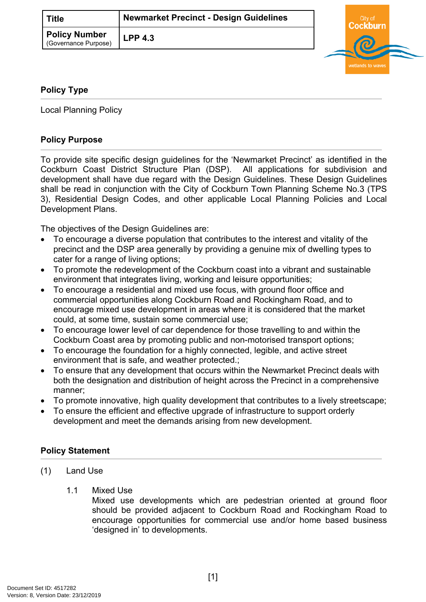| ाitle ।                                      | <b>Newmarket Precinct - Design Guidelines</b> |  |
|----------------------------------------------|-----------------------------------------------|--|
| <b>Policy Number</b><br>(Governance Purpose) | $LPP$ 4.3                                     |  |



# **Policy Type**

Local Planning Policy

## **Policy Purpose**

To provide site specific design guidelines for the 'Newmarket Precinct' as identified in the Cockburn Coast District Structure Plan (DSP). All applications for subdivision and development shall have due regard with the Design Guidelines. These Design Guidelines shall be read in conjunction with the City of Cockburn Town Planning Scheme No.3 (TPS 3), Residential Design Codes, and other applicable Local Planning Policies and Local Development Plans.

The objectives of the Design Guidelines are:

- To encourage a diverse population that contributes to the interest and vitality of the precinct and the DSP area generally by providing a genuine mix of dwelling types to cater for a range of living options;
- To promote the redevelopment of the Cockburn coast into a vibrant and sustainable environment that integrates living, working and leisure opportunities;
- To encourage a residential and mixed use focus, with ground floor office and commercial opportunities along Cockburn Road and Rockingham Road, and to encourage mixed use development in areas where it is considered that the market could, at some time, sustain some commercial use;
- To encourage lower level of car dependence for those travelling to and within the Cockburn Coast area by promoting public and non-motorised transport options;
- To encourage the foundation for a highly connected, legible, and active street environment that is safe, and weather protected.;
- To ensure that any development that occurs within the Newmarket Precinct deals with both the designation and distribution of height across the Precinct in a comprehensive manner;
- To promote innovative, high quality development that contributes to a lively streetscape;
- To ensure the efficient and effective upgrade of infrastructure to support orderly development and meet the demands arising from new development.

### <span id="page-0-0"></span>**[Policy Statement](#page-0-0)**

- (1) Land Use
	- 1.1 Mixed Use

Mixed use developments which are pedestrian oriented at ground floor should be provided adjacent to Cockburn Road and Rockingham Road to encourage opportunities for commercial use and/or home based business 'designed in' to developments.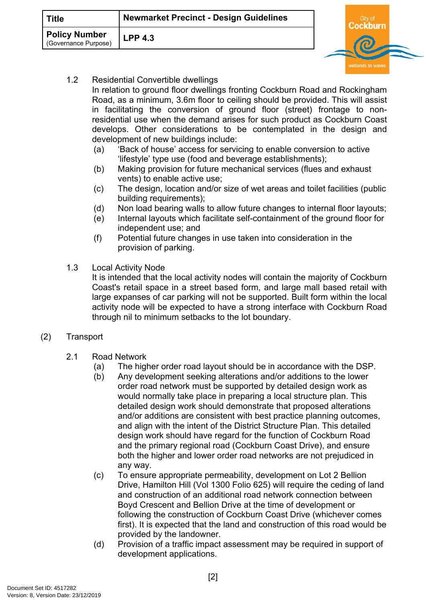| Title                                 | <b>Newmarket Precinct - Design Guidelines</b> | `itv i |  |
|---------------------------------------|-----------------------------------------------|--------|--|
| Policy Number<br>(Governance Purpose) | $LPP$ 4.3                                     |        |  |
|                                       |                                               |        |  |

1.2 Residential Convertible dwellings

In relation to ground floor dwellings fronting Cockburn Road and Rockingham Road, as a minimum, 3.6m floor to ceiling should be provided. This will assist in facilitating the conversion of ground floor (street) frontage to nonresidential use when the demand arises for such product as Cockburn Coast develops. Other considerations to be contemplated in the design and development of new buildings include:

- (a) 'Back of house' access for servicing to enable conversion to active 'lifestyle' type use (food and beverage establishments);
- (b) Making provision for future mechanical services (flues and exhaust vents) to enable active use;
- (c) The design, location and/or size of wet areas and toilet facilities (public building requirements);
- (d) Non load bearing walls to allow future changes to internal floor layouts;
- (e) Internal layouts which facilitate self-containment of the ground floor for independent use; and
- (f) Potential future changes in use taken into consideration in the provision of parking.
- 1.3 Local Activity Node

It is intended that the local activity nodes will contain the majority of Cockburn Coast's retail space in a street based form, and large mall based retail with large expanses of car parking will not be supported. Built form within the local activity node will be expected to have a strong interface with Cockburn Road through nil to minimum setbacks to the lot boundary.

- (2) Transport
	- 2.1 Road Network
		- (a) The higher order road layout should be in accordance with the DSP.
		- (b) Any development seeking alterations and/or additions to the lower order road network must be supported by detailed design work as would normally take place in preparing a local structure plan. This detailed design work should demonstrate that proposed alterations and/or additions are consistent with best practice planning outcomes, and align with the intent of the District Structure Plan. This detailed design work should have regard for the function of Cockburn Road and the primary regional road (Cockburn Coast Drive), and ensure both the higher and lower order road networks are not prejudiced in any way.
		- (c) To ensure appropriate permeability, development on Lot 2 Bellion Drive, Hamilton Hill (Vol 1300 Folio 625) will require the ceding of land and construction of an additional road network connection between Boyd Crescent and Bellion Drive at the time of development or following the construction of Cockburn Coast Drive (whichever comes first). It is expected that the land and construction of this road would be provided by the landowner.
		- (d) Provision of a traffic impact assessment may be required in support of development applications.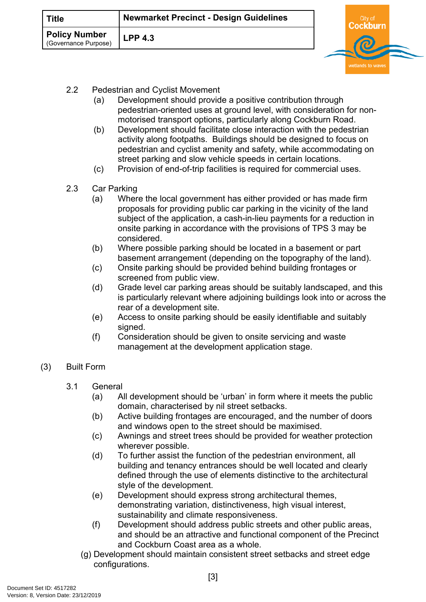| ाitle                                        | <b>Newmarket Precinct - Design Guidelines</b> |  |
|----------------------------------------------|-----------------------------------------------|--|
| <b>Policy Number</b><br>(Governance Purpose) | $LPP$ 4.3                                     |  |

- 2.2 Pedestrian and Cyclist Movement
	- (a) Development should provide a positive contribution through pedestrian-oriented uses at ground level, with consideration for nonmotorised transport options, particularly along Cockburn Road.
	- (b) Development should facilitate close interaction with the pedestrian activity along footpaths. Buildings should be designed to focus on pedestrian and cyclist amenity and safety, while accommodating on street parking and slow vehicle speeds in certain locations.
	- (c) Provision of end-of-trip facilities is required for commercial uses.
- 2.3 Car Parking
	- (a) Where the local government has either provided or has made firm proposals for providing public car parking in the vicinity of the land subject of the application, a cash-in-lieu payments for a reduction in onsite parking in accordance with the provisions of TPS 3 may be considered.
	- (b) Where possible parking should be located in a basement or part basement arrangement (depending on the topography of the land).
	- (c) Onsite parking should be provided behind building frontages or screened from public view.
	- (d) Grade level car parking areas should be suitably landscaped, and this is particularly relevant where adjoining buildings look into or across the rear of a development site.
	- (e) Access to onsite parking should be easily identifiable and suitably signed.
	- (f) Consideration should be given to onsite servicing and waste management at the development application stage.

### (3) Built Form

- 3.1 General
	- (a) All development should be 'urban' in form where it meets the public domain, characterised by nil street setbacks.
	- (b) Active building frontages are encouraged, and the number of doors and windows open to the street should be maximised.
	- (c) Awnings and street trees should be provided for weather protection wherever possible.
	- (d) To further assist the function of the pedestrian environment, all building and tenancy entrances should be well located and clearly defined through the use of elements distinctive to the architectural style of the development.
	- (e) Development should express strong architectural themes, demonstrating variation, distinctiveness, high visual interest, sustainability and climate responsiveness.
	- (f) Development should address public streets and other public areas, and should be an attractive and functional component of the Precinct and Cockburn Coast area as a whole.
	- (g) Development should maintain consistent street setbacks and street edge configurations.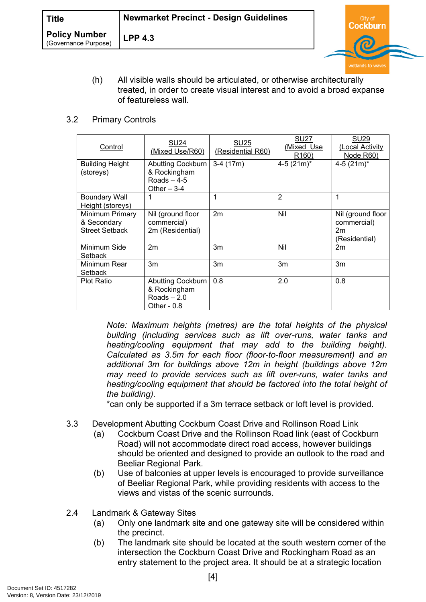(h) All visible walls should be articulated, or otherwise architecturally treated, in order to create visual interest and to avoid a broad expanse of featureless wall.

wetlands to w

#### 3.2 Primary Controls

| Control                                                 | SU <sub>24</sub><br>(Mixed Use/R60)                                | <b>SU25</b><br>(Residential R60) | <b>SU27</b><br>(Mixed Use<br>R <sub>160</sub> ) | <b>SU29</b><br>(Local Activity<br>Node R60)             |
|---------------------------------------------------------|--------------------------------------------------------------------|----------------------------------|-------------------------------------------------|---------------------------------------------------------|
| <b>Building Height</b><br>(storeys)                     | Abutting Cockburn<br>& Rockingham<br>Roads $-4-5$<br>Other $-3-4$  | $3-4(17m)$                       | $4-5$ (21m) <sup>*</sup>                        | 4-5 $(21m)^*$                                           |
| <b>Boundary Wall</b><br>Height (storeys)                | 1                                                                  | 1                                | $\overline{2}$                                  | 1                                                       |
| Minimum Primary<br>& Secondary<br><b>Street Setback</b> | Nil (ground floor<br>commercial)<br>2m (Residential)               | 2m                               | Nil                                             | Nil (ground floor<br>commercial)<br>2m<br>(Residential) |
| Minimum Side<br>Setback                                 | 2m                                                                 | 3m                               | Nil                                             | 2m                                                      |
| Minimum Rear<br>Setback                                 | 3m                                                                 | 3m                               | 3m                                              | 3m                                                      |
| <b>Plot Ratio</b>                                       | Abutting Cockburn<br>& Rockingham<br>Roads $-2.0$<br>Other - $0.8$ | 0.8                              | 2.0                                             | 0.8                                                     |

*Note: Maximum heights (metres) are the total heights of the physical building (including services such as lift over-runs, water tanks and heating/cooling equipment that may add to the building height). Calculated as 3.5m for each floor (floor-to-floor measurement) and an additional 3m for buildings above 12m in height (buildings above 12m may need to provide services such as lift over-runs, water tanks and heating/cooling equipment that should be factored into the total height of the building).*

\*can only be supported if a 3m terrace setback or loft level is provided.

- 3.3 Development Abutting Cockburn Coast Drive and Rollinson Road Link
	- (a) Cockburn Coast Drive and the Rollinson Road link (east of Cockburn Road) will not accommodate direct road access, however buildings should be oriented and designed to provide an outlook to the road and Beeliar Regional Park.
	- (b) Use of balconies at upper levels is encouraged to provide surveillance of Beeliar Regional Park, while providing residents with access to the views and vistas of the scenic surrounds.
- 2.4 Landmark & Gateway Sites
	- (a) Only one landmark site and one gateway site will be considered within the precinct.
	- (b) The landmark site should be located at the south western corner of the intersection the Cockburn Coast Drive and Rockingham Road as an entry statement to the project area. It should be at a strategic location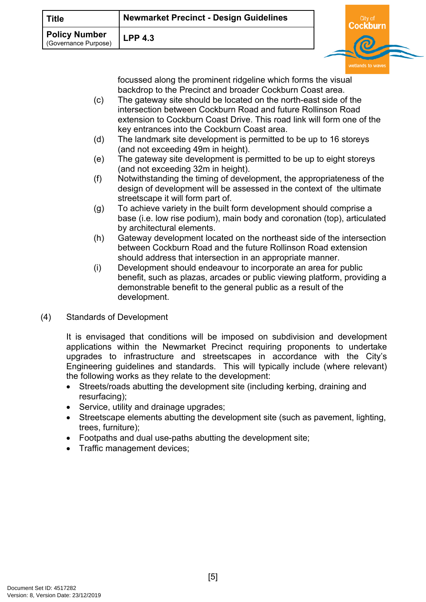| ाitle                                        | <b>Newmarket Precinct - Design Guidelines</b> |  |  |
|----------------------------------------------|-----------------------------------------------|--|--|
| <b>Policy Number</b><br>(Governance Purpose) | $LPP$ 4.3                                     |  |  |

focussed along the prominent ridgeline which forms the visual backdrop to the Precinct and broader Cockburn Coast area.

- (c) The gateway site should be located on the north-east side of the intersection between Cockburn Road and future Rollinson Road extension to Cockburn Coast Drive. This road link will form one of the key entrances into the Cockburn Coast area.
- (d) The landmark site development is permitted to be up to 16 storeys (and not exceeding 49m in height).
- (e) The gateway site development is permitted to be up to eight storeys (and not exceeding 32m in height).
- (f) Notwithstanding the timing of development, the appropriateness of the design of development will be assessed in the context of the ultimate streetscape it will form part of.
- (g) To achieve variety in the built form development should comprise a base (i.e. low rise podium), main body and coronation (top), articulated by architectural elements.
- (h) Gateway development located on the northeast side of the intersection between Cockburn Road and the future Rollinson Road extension should address that intersection in an appropriate manner.
- (i) Development should endeavour to incorporate an area for public benefit, such as plazas, arcades or public viewing platform, providing a demonstrable benefit to the general public as a result of the development.
- (4) Standards of Development

It is envisaged that conditions will be imposed on subdivision and development applications within the Newmarket Precinct requiring proponents to undertake upgrades to infrastructure and streetscapes in accordance with the City's Engineering guidelines and standards. This will typically include (where relevant) the following works as they relate to the development:

- Streets/roads abutting the development site (including kerbing, draining and resurfacing);
- Service, utility and drainage upgrades;
- Streetscape elements abutting the development site (such as pavement, lighting, trees, furniture);
- Footpaths and dual use-paths abutting the development site;
- Traffic management devices;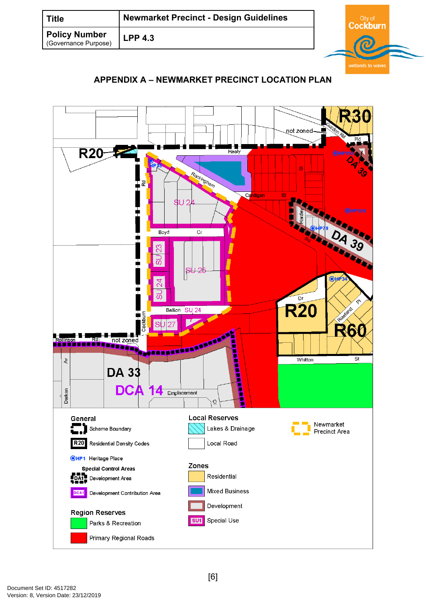| <b>Title</b>                                 | <b>Newmarket Precinct - Design Guidelines</b> |  |  |
|----------------------------------------------|-----------------------------------------------|--|--|
| <b>Policy Number</b><br>(Governance Purpose) | <b>LPP 4.3</b>                                |  |  |